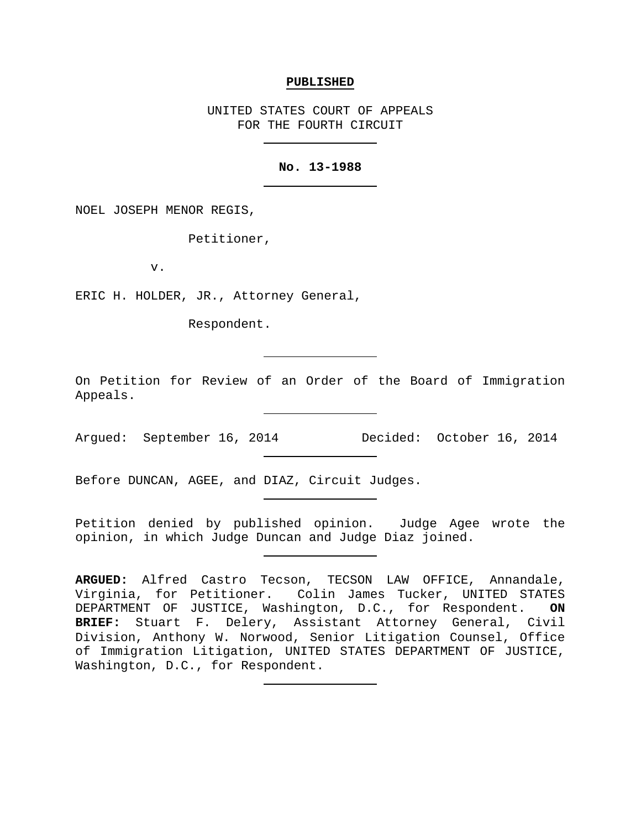#### **PUBLISHED**

UNITED STATES COURT OF APPEALS FOR THE FOURTH CIRCUIT

### **No. 13-1988**

NOEL JOSEPH MENOR REGIS,

Petitioner,

v.

ERIC H. HOLDER, JR., Attorney General,

Respondent.

On Petition for Review of an Order of the Board of Immigration Appeals.

Argued: September 16, 2014 Decided: October 16, 2014

Before DUNCAN, AGEE, and DIAZ, Circuit Judges.

Petition denied by published opinion. Judge Agee wrote the opinion, in which Judge Duncan and Judge Diaz joined.

**ARGUED:** Alfred Castro Tecson, TECSON LAW OFFICE, Annandale, Virginia, for Petitioner. Colin James Tucker, UNITED STATES DEPARTMENT OF JUSTICE, Washington, D.C., for Respondent. **ON BRIEF:** Stuart F. Delery, Assistant Attorney General, Civil Division, Anthony W. Norwood, Senior Litigation Counsel, Office of Immigration Litigation, UNITED STATES DEPARTMENT OF JUSTICE, Washington, D.C., for Respondent.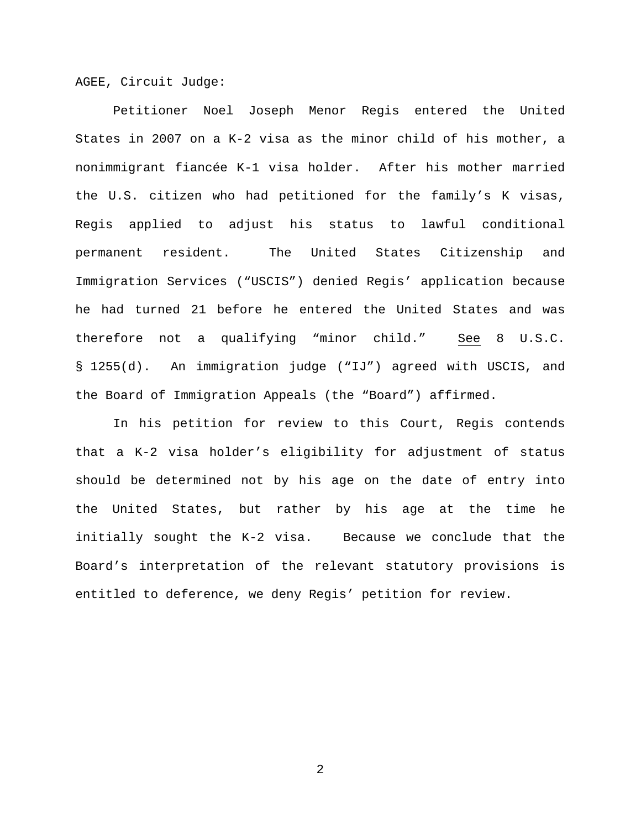AGEE, Circuit Judge:

Petitioner Noel Joseph Menor Regis entered the United States in 2007 on a K-2 visa as the minor child of his mother, a nonimmigrant fiancée K-1 visa holder. After his mother married the U.S. citizen who had petitioned for the family's K visas, Regis applied to adjust his status to lawful conditional permanent resident. The United States Citizenship and Immigration Services ("USCIS") denied Regis' application because he had turned 21 before he entered the United States and was therefore not a qualifying "minor child." See 8 U.S.C. § 1255(d). An immigration judge ("IJ") agreed with USCIS, and the Board of Immigration Appeals (the "Board") affirmed.

In his petition for review to this Court, Regis contends that a K-2 visa holder's eligibility for adjustment of status should be determined not by his age on the date of entry into the United States, but rather by his age at the time he initially sought the K-2 visa. Because we conclude that the Board's interpretation of the relevant statutory provisions is entitled to deference, we deny Regis' petition for review.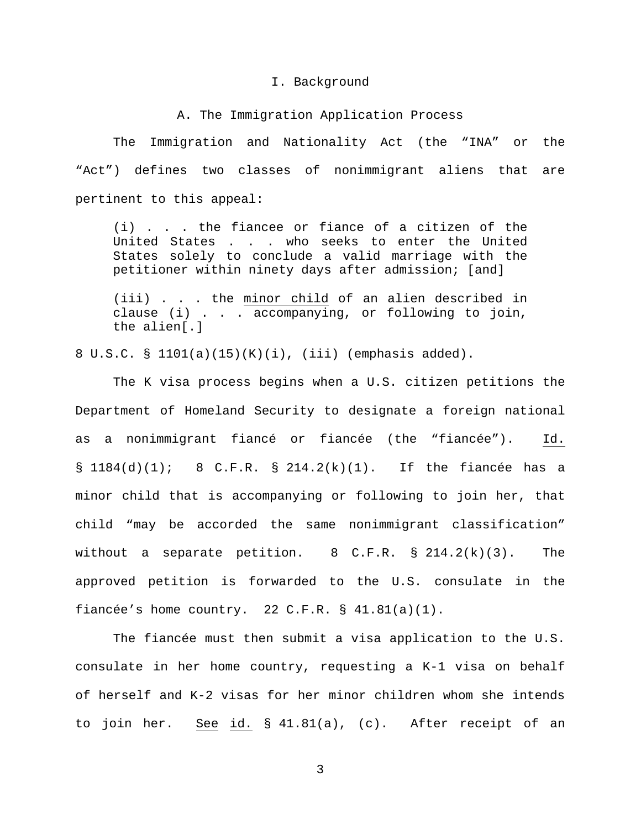#### I. Background

## A. The Immigration Application Process

The Immigration and Nationality Act (the "INA" or the "Act") defines two classes of nonimmigrant aliens that are pertinent to this appeal:

(i) . . . the fiancee or fiance of a citizen of the United States . . . who seeks to enter the United States solely to conclude a valid marriage with the petitioner within ninety days after admission; [and]

(iii) . . . the minor child of an alien described in clause (i) . . . accompanying, or following to join, the alien[.]

8 U.S.C. § 1101(a)(15)(K)(i), (iii) (emphasis added).

The K visa process begins when a U.S. citizen petitions the Department of Homeland Security to designate a foreign national as a nonimmigrant fiancé or fiancée (the "fiancée"). Id.  $\S$  1184(d)(1); 8 C.F.R.  $\S$  214.2(k)(1). If the fiancée has a minor child that is accompanying or following to join her, that child "may be accorded the same nonimmigrant classification" without a separate petition. 8 C.F.R. § 214.2(k)(3). The approved petition is forwarded to the U.S. consulate in the fiancée's home country. 22 C.F.R.  $\S$  41.81(a)(1).

The fiancée must then submit a visa application to the U.S. consulate in her home country, requesting a K-1 visa on behalf of herself and K-2 visas for her minor children whom she intends to join her. See id. § 41.81(a), (c). After receipt of an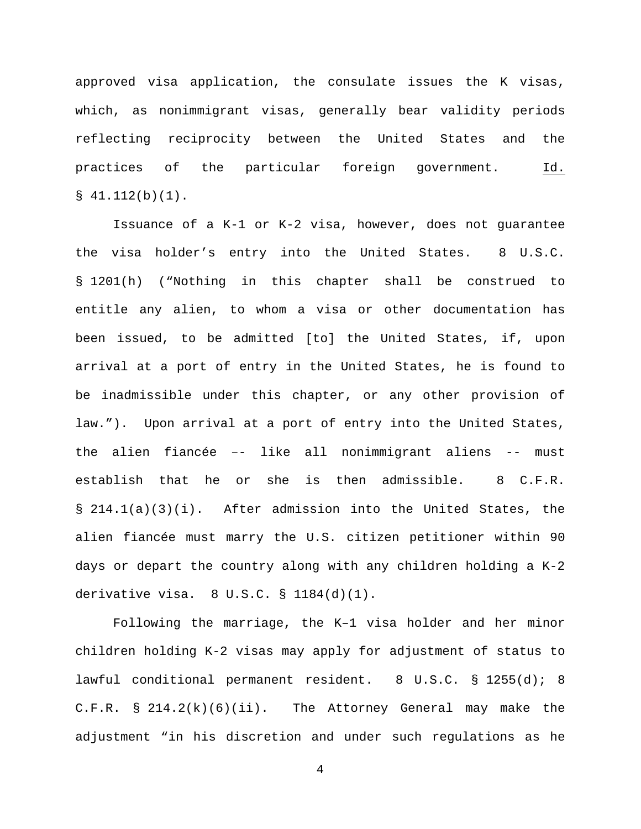approved visa application, the consulate issues the K visas, which, as nonimmigrant visas, generally bear validity periods reflecting reciprocity between the United States and the practices of the particular foreign government. Id.  $$41.112(b)(1)$ .

Issuance of a K-1 or K-2 visa, however, does not guarantee the visa holder's entry into the United States. 8 U.S.C. § 1201(h) ("Nothing in this chapter shall be construed to entitle any alien, to whom a visa or other documentation has been issued, to be admitted [to] the United States, if, upon arrival at a port of entry in the United States, he is found to be inadmissible under this chapter, or any other provision of law."). Upon arrival at a port of entry into the United States, the alien fiancée –- like all nonimmigrant aliens -- must establish that he or she is then admissible. 8 C.F.R. § 214.1(a)(3)(i). After admission into the United States, the alien fiancée must marry the U.S. citizen petitioner within 90 days or depart the country along with any children holding a K-2 derivative visa. 8 U.S.C. § 1184(d)(1).

Following the marriage, the K–1 visa holder and her minor children holding K-2 visas may apply for adjustment of status to lawful conditional permanent resident. 8 U.S.C. § 1255(d); 8 C.F.R. § 214.2(k)(6)(ii). The Attorney General may make the adjustment "in his discretion and under such regulations as he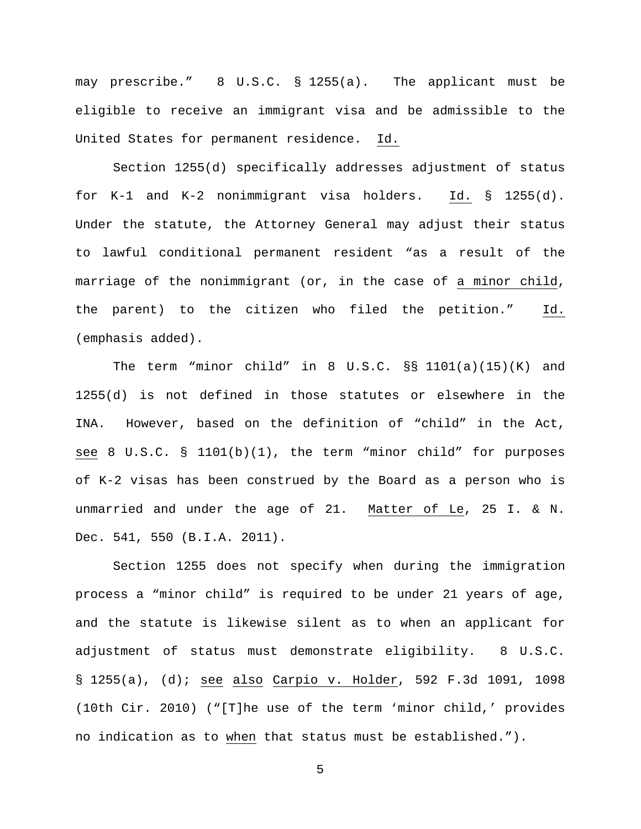may prescribe." 8 U.S.C. § 1255(a). The applicant must be eligible to receive an immigrant visa and be admissible to the United States for permanent residence. Id.

Section 1255(d) specifically addresses adjustment of status for K-1 and K-2 nonimmigrant visa holders. Id. § 1255(d). Under the statute, the Attorney General may adjust their status to lawful conditional permanent resident "as a result of the marriage of the nonimmigrant (or, in the case of a minor child, the parent) to the citizen who filed the petition." Id. (emphasis added).

The term "minor child" in 8 U.S.C. §§ 1101(a)(15)(K) and 1255(d) is not defined in those statutes or elsewhere in the INA. However, based on the definition of "child" in the Act, see 8 U.S.C. § 1101(b)(1), the term "minor child" for purposes of K-2 visas has been construed by the Board as a person who is unmarried and under the age of 21. Matter of Le, 25 I. & N. Dec. 541, 550 (B.I.A. 2011).

Section 1255 does not specify when during the immigration process a "minor child" is required to be under 21 years of age, and the statute is likewise silent as to when an applicant for adjustment of status must demonstrate eligibility. 8 U.S.C. § 1255(a), (d); see also Carpio v. Holder, 592 F.3d 1091, 1098 (10th Cir. 2010) ("[T]he use of the term 'minor child,' provides no indication as to when that status must be established.").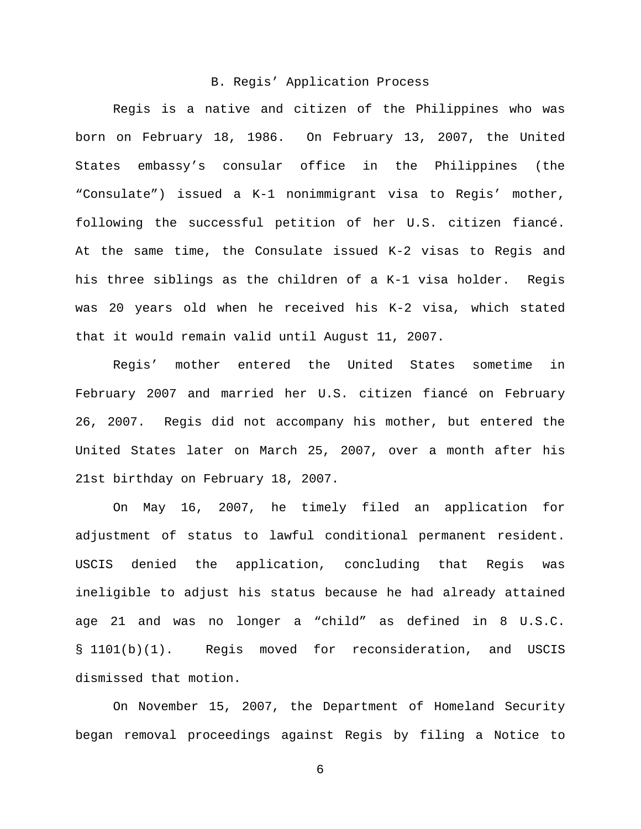#### B. Regis' Application Process

Regis is a native and citizen of the Philippines who was born on February 18, 1986. On February 13, 2007, the United States embassy's consular office in the Philippines (the "Consulate") issued a K-1 nonimmigrant visa to Regis' mother, following the successful petition of her U.S. citizen fiancé. At the same time, the Consulate issued K-2 visas to Regis and his three siblings as the children of a K-1 visa holder. Regis was 20 years old when he received his K-2 visa, which stated that it would remain valid until August 11, 2007.

Regis' mother entered the United States sometime in February 2007 and married her U.S. citizen fiancé on February 26, 2007. Regis did not accompany his mother, but entered the United States later on March 25, 2007, over a month after his 21st birthday on February 18, 2007.

On May 16, 2007, he timely filed an application for adjustment of status to lawful conditional permanent resident. USCIS denied the application, concluding that Regis was ineligible to adjust his status because he had already attained age 21 and was no longer a "child" as defined in 8 U.S.C. § 1101(b)(1). Regis moved for reconsideration, and USCIS dismissed that motion.

On November 15, 2007, the Department of Homeland Security began removal proceedings against Regis by filing a Notice to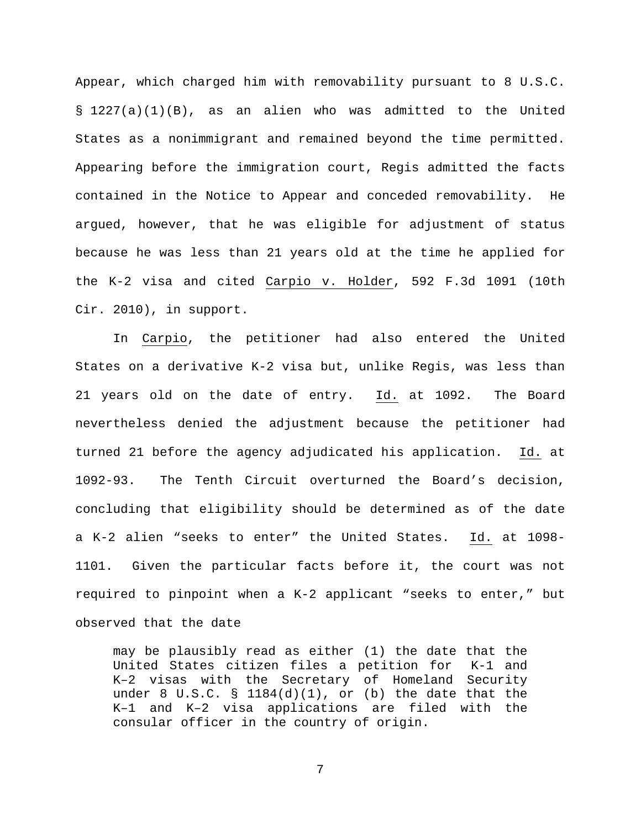Appear, which charged him with removability pursuant to 8 U.S.C. § 1227(a)(1)(B), as an alien who was admitted to the United States as a nonimmigrant and remained beyond the time permitted. Appearing before the immigration court, Regis admitted the facts contained in the Notice to Appear and conceded removability. He argued, however, that he was eligible for adjustment of status because he was less than 21 years old at the time he applied for the K-2 visa and cited Carpio v. Holder, 592 F.3d 1091 (10th Cir. 2010), in support.

In Carpio, the petitioner had also entered the United States on a derivative K-2 visa but, unlike Regis, was less than 21 years old on the date of entry. Id. at 1092. The Board nevertheless denied the adjustment because the petitioner had turned 21 before the agency adjudicated his application. Id. at 1092-93. The Tenth Circuit overturned the Board's decision, concluding that eligibility should be determined as of the date a K-2 alien "seeks to enter" the United States. Id. at 1098- 1101. Given the particular facts before it, the court was not required to pinpoint when a K-2 applicant "seeks to enter," but observed that the date

may be plausibly read as either (1) the date that the United States citizen files a petition for K-1 and K–2 visas with the Secretary of Homeland Security under 8 U.S.C. §  $1184(d)(1)$ , or (b) the date that the K–1 and K–2 visa applications are filed with the consular officer in the country of origin.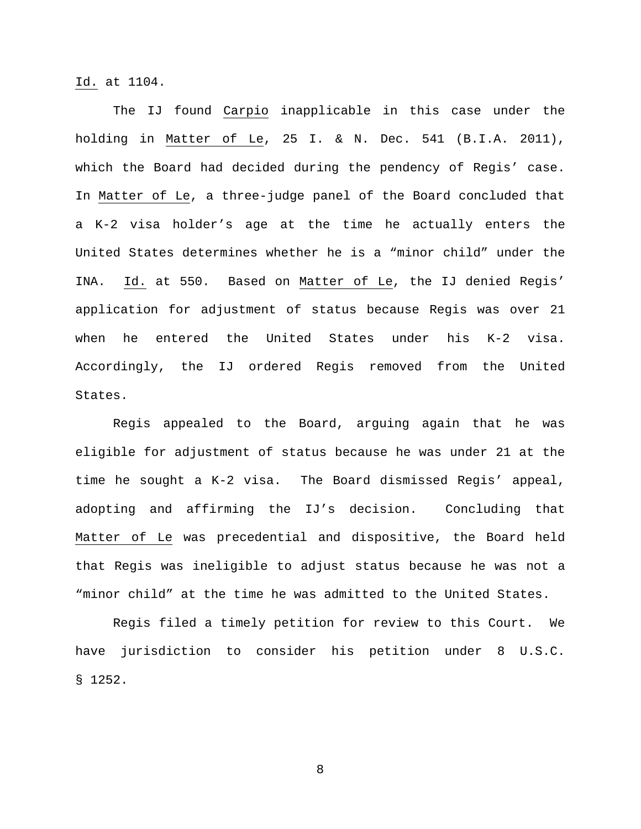Id. at 1104.

The IJ found Carpio inapplicable in this case under the holding in Matter of Le, 25 I. & N. Dec. 541 (B.I.A. 2011), which the Board had decided during the pendency of Regis' case. In Matter of Le, a three-judge panel of the Board concluded that a K-2 visa holder's age at the time he actually enters the United States determines whether he is a "minor child" under the INA. Id. at 550. Based on Matter of Le, the IJ denied Regis' application for adjustment of status because Regis was over 21 when he entered the United States under his K-2 visa. Accordingly, the IJ ordered Regis removed from the United States.

Regis appealed to the Board, arguing again that he was eligible for adjustment of status because he was under 21 at the time he sought a K-2 visa. The Board dismissed Regis' appeal, adopting and affirming the IJ's decision. Concluding that Matter of Le was precedential and dispositive, the Board held that Regis was ineligible to adjust status because he was not a "minor child" at the time he was admitted to the United States.

Regis filed a timely petition for review to this Court. We have jurisdiction to consider his petition under 8 U.S.C. § 1252.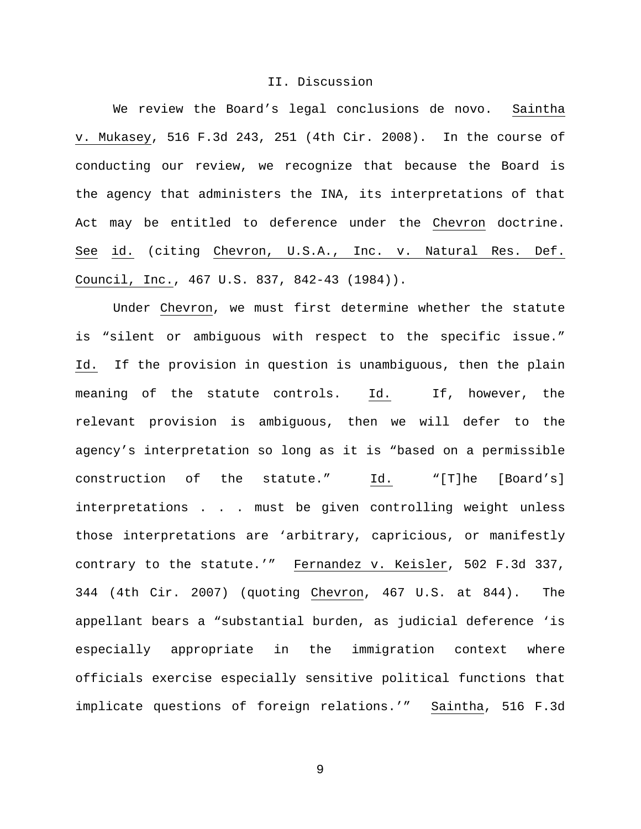#### II. Discussion

We review the Board's legal conclusions de novo. Saintha v. Mukasey, 516 F.3d 243, 251 (4th Cir. 2008). In the course of conducting our review, we recognize that because the Board is the agency that administers the INA, its interpretations of that Act may be entitled to deference under the Chevron doctrine. See id. (citing Chevron, U.S.A., Inc. v. Natural Res. Def. Council, Inc., 467 U.S. 837, 842-43 (1984)).

Under Chevron, we must first determine whether the statute is "silent or ambiguous with respect to the specific issue." Id. If the provision in question is unambiguous, then the plain meaning of the statute controls. Id. If, however, the relevant provision is ambiguous, then we will defer to the agency's interpretation so long as it is "based on a permissible construction of the statute." Id. "[T]he [Board's] interpretations . . . must be given controlling weight unless those interpretations are 'arbitrary, capricious, or manifestly contrary to the statute.'" Fernandez v. Keisler, 502 F.3d 337, 344 (4th Cir. 2007) (quoting Chevron, 467 U.S. at 844). The appellant bears a "substantial burden, as judicial deference 'is especially appropriate in the immigration context where officials exercise especially sensitive political functions that implicate questions of foreign relations.'" Saintha, 516 F.3d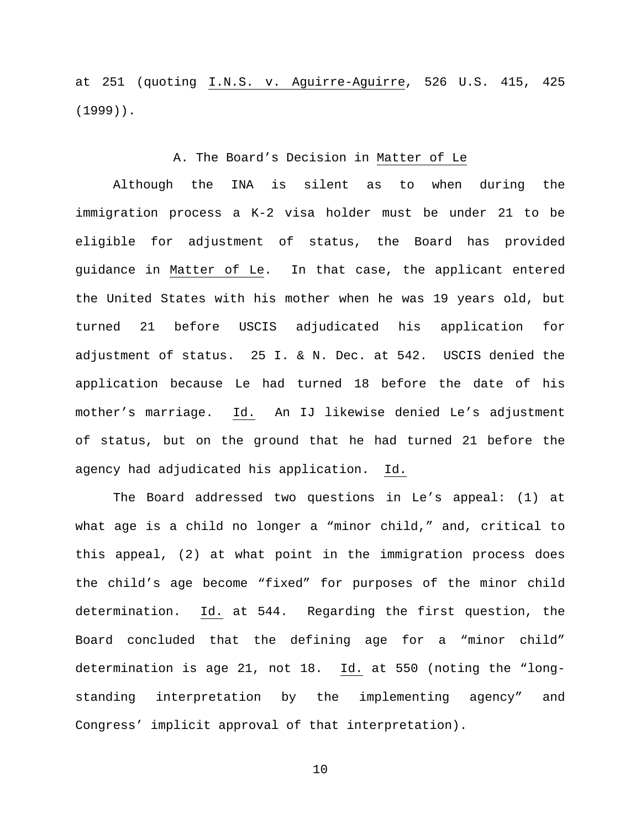at 251 (quoting I.N.S. v. Aguirre-Aguirre, 526 U.S. 415, 425 (1999)).

## A. The Board's Decision in Matter of Le

Although the INA is silent as to when during the immigration process a K-2 visa holder must be under 21 to be eligible for adjustment of status, the Board has provided guidance in Matter of Le. In that case, the applicant entered the United States with his mother when he was 19 years old, but turned 21 before USCIS adjudicated his application for adjustment of status. 25 I. & N. Dec. at 542. USCIS denied the application because Le had turned 18 before the date of his mother's marriage. Id. An IJ likewise denied Le's adjustment of status, but on the ground that he had turned 21 before the agency had adjudicated his application. Id.

The Board addressed two questions in Le's appeal: (1) at what age is a child no longer a "minor child," and, critical to this appeal, (2) at what point in the immigration process does the child's age become "fixed" for purposes of the minor child determination. Id. at 544. Regarding the first question, the Board concluded that the defining age for a "minor child" determination is age 21, not 18. Id. at 550 (noting the "longstanding interpretation by the implementing agency" and Congress' implicit approval of that interpretation).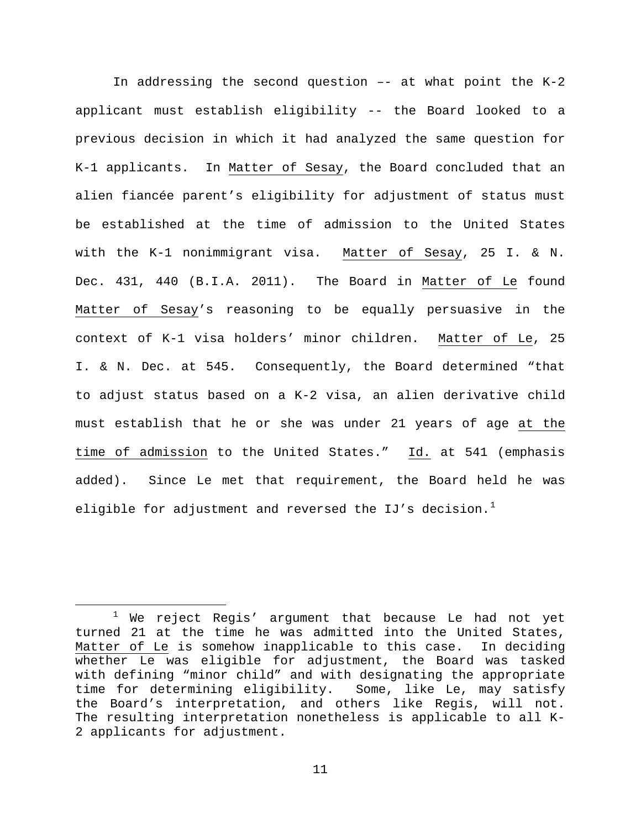In addressing the second question  $--$  at what point the K-2 applicant must establish eligibility -- the Board looked to a previous decision in which it had analyzed the same question for K-1 applicants. In Matter of Sesay, the Board concluded that an alien fiancée parent's eligibility for adjustment of status must be established at the time of admission to the United States with the K-1 nonimmigrant visa. Matter of Sesay, 25 I. & N. Dec. 431, 440 (B.I.A. 2011). The Board in Matter of Le found Matter of Sesay's reasoning to be equally persuasive in the context of K-1 visa holders' minor children. Matter of Le, 25 I. & N. Dec. at 545. Consequently, the Board determined "that to adjust status based on a K-2 visa, an alien derivative child must establish that he or she was under 21 years of age at the time of admission to the United States." Id. at 541 (emphasis added). Since Le met that requirement, the Board held he was eligible for adjustment and reversed the IJ's decision. $^1$  $^1$ 

<span id="page-10-0"></span> $1$  We reject Regis' argument that because Le had not yet turned 21 at the time he was admitted into the United States, Matter of Le is somehow inapplicable to this case. In deciding whether Le was eligible for adjustment, the Board was tasked with defining "minor child" and with designating the appropriate time for determining eligibility. Some, like Le, may satisfy the Board's interpretation, and others like Regis, will not. The resulting interpretation nonetheless is applicable to all K-2 applicants for adjustment.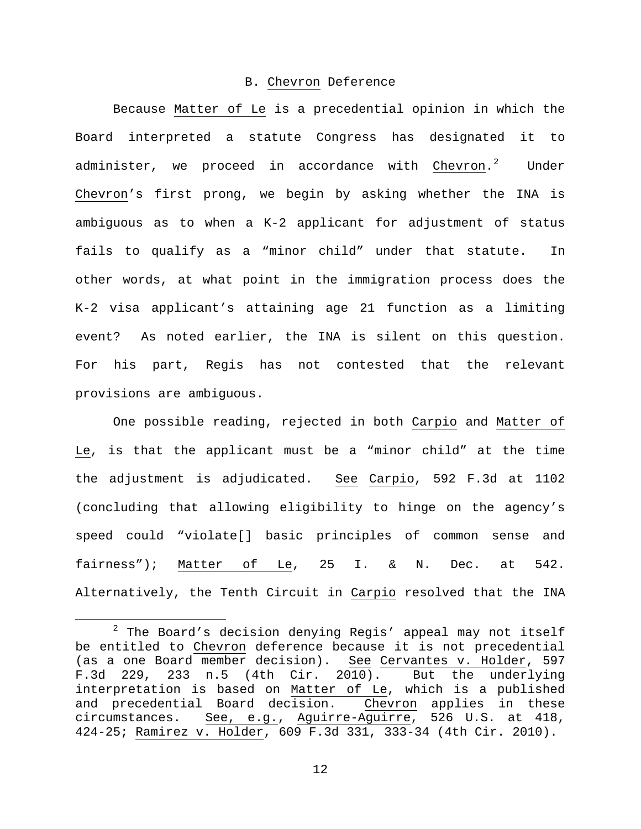### B. Chevron Deference

Because Matter of Le is a precedential opinion in which the Board interpreted a statute Congress has designated it to administer, we proceed in accordance with Chevron.<sup>[2](#page-11-0)</sup> Under Chevron's first prong, we begin by asking whether the INA is ambiguous as to when a K-2 applicant for adjustment of status fails to qualify as a "minor child" under that statute. In other words, at what point in the immigration process does the K-2 visa applicant's attaining age 21 function as a limiting event? As noted earlier, the INA is silent on this question. For his part, Regis has not contested that the relevant provisions are ambiguous.

One possible reading, rejected in both Carpio and Matter of Le, is that the applicant must be a "minor child" at the time the adjustment is adjudicated. See Carpio, 592 F.3d at 1102 (concluding that allowing eligibility to hinge on the agency's speed could "violate[] basic principles of common sense and fairness"); Matter of Le, 25 I. & N. Dec. at 542. Alternatively, the Tenth Circuit in Carpio resolved that the INA

<span id="page-11-0"></span> $2$  The Board's decision denying Regis' appeal may not itself be entitled to Chevron deference because it is not precedential (as a one Board member decision). See Cervantes v. Holder, 597<br>F.3d 229, 233 n.5 (4th Cir. 2010). But the underlying  $F.3d$  229, 233 n.5 (4th Cir. 2010). interpretation is based on Matter of Le, which is a published and precedential Board decision. Chevron applies in these circumstances. See, e.g., Aguirre-Aguirre, 526 U.S. at 418, 424-25; Ramirez v. Holder, 609 F.3d 331, 333-34 (4th Cir. 2010).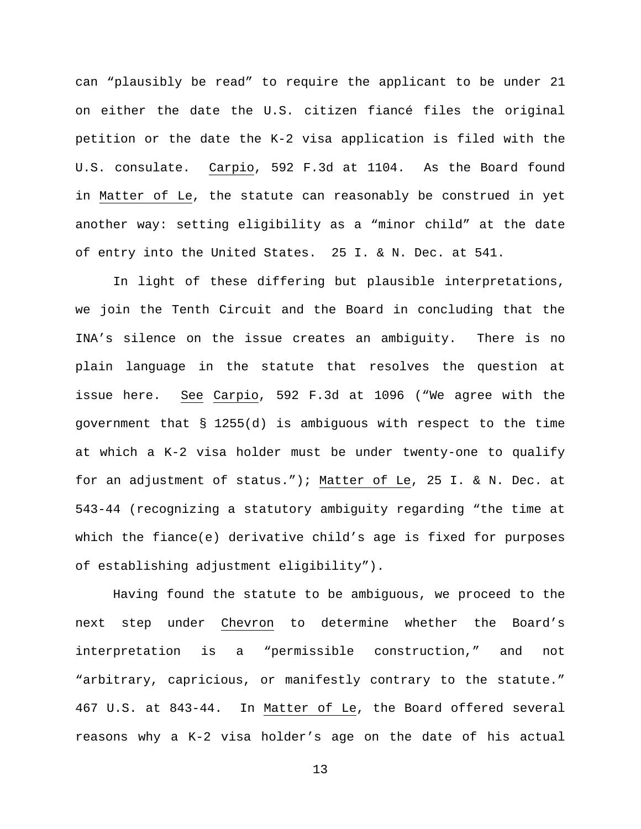can "plausibly be read" to require the applicant to be under 21 on either the date the U.S. citizen fiancé files the original petition or the date the K-2 visa application is filed with the U.S. consulate. Carpio, 592 F.3d at 1104. As the Board found in Matter of Le, the statute can reasonably be construed in yet another way: setting eligibility as a "minor child" at the date of entry into the United States. 25 I. & N. Dec. at 541.

In light of these differing but plausible interpretations, we join the Tenth Circuit and the Board in concluding that the INA's silence on the issue creates an ambiguity. There is no plain language in the statute that resolves the question at issue here. See Carpio, 592 F.3d at 1096 ("We agree with the government that § 1255(d) is ambiguous with respect to the time at which a K-2 visa holder must be under twenty-one to qualify for an adjustment of status."); Matter of Le, 25 I. & N. Dec. at 543-44 (recognizing a statutory ambiguity regarding "the time at which the fiance(e) derivative child's age is fixed for purposes of establishing adjustment eligibility").

Having found the statute to be ambiguous, we proceed to the next step under Chevron to determine whether the Board's interpretation is a "permissible construction," and not "arbitrary, capricious, or manifestly contrary to the statute." 467 U.S. at 843-44. In Matter of Le, the Board offered several reasons why a K-2 visa holder's age on the date of his actual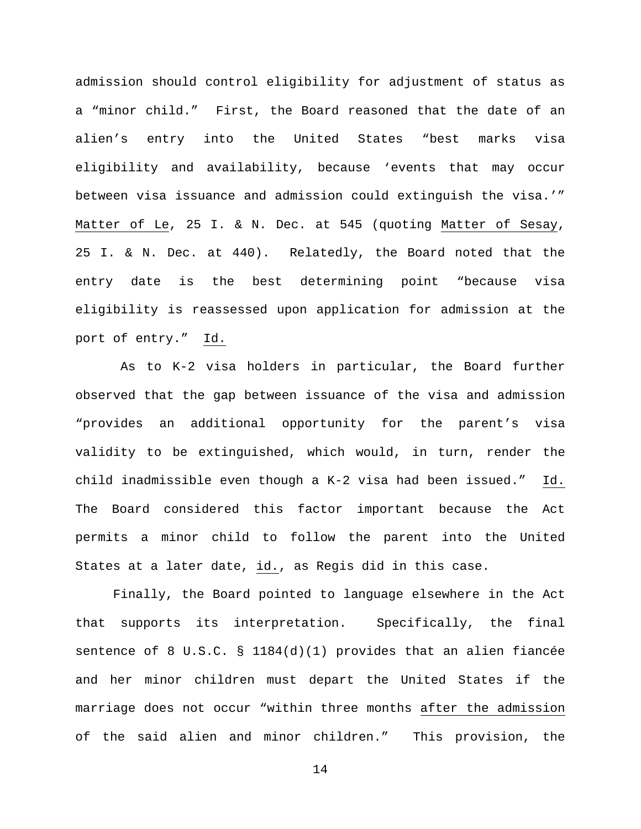admission should control eligibility for adjustment of status as a "minor child." First, the Board reasoned that the date of an alien's entry into the United States "best marks visa eligibility and availability, because 'events that may occur between visa issuance and admission could extinguish the visa.'" Matter of Le, 25 I. & N. Dec. at 545 (quoting Matter of Sesay, 25 I. & N. Dec. at 440). Relatedly, the Board noted that the entry date is the best determining point "because visa eligibility is reassessed upon application for admission at the port of entry." Id.

As to K-2 visa holders in particular, the Board further observed that the gap between issuance of the visa and admission "provides an additional opportunity for the parent's visa validity to be extinguished, which would, in turn, render the child inadmissible even though a K-2 visa had been issued." Id. The Board considered this factor important because the Act permits a minor child to follow the parent into the United States at a later date, id., as Regis did in this case.

Finally, the Board pointed to language elsewhere in the Act that supports its interpretation. Specifically, the final sentence of 8 U.S.C. § 1184(d)(1) provides that an alien fiancée and her minor children must depart the United States if the marriage does not occur "within three months after the admission of the said alien and minor children." This provision, the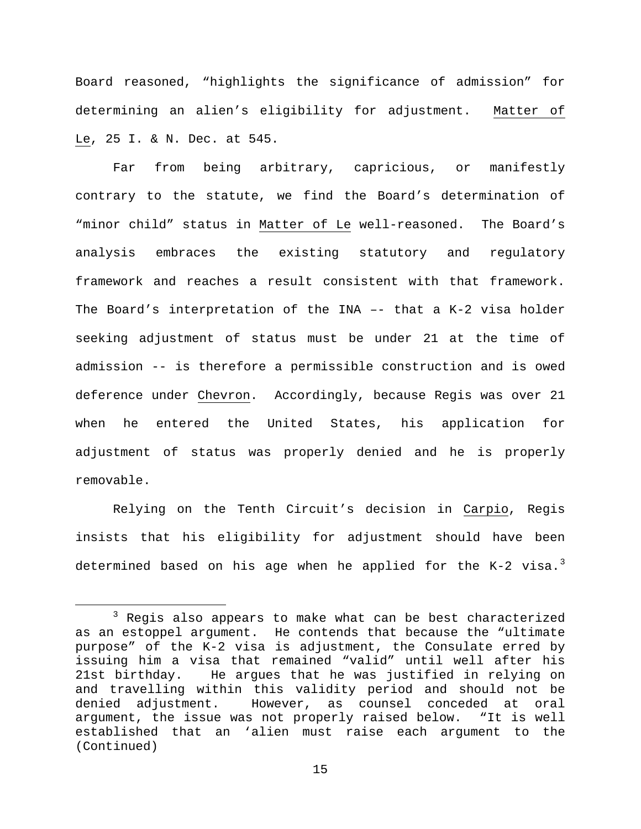Board reasoned, "highlights the significance of admission" for determining an alien's eligibility for adjustment. Matter of Le, 25 I. & N. Dec. at 545.

Far from being arbitrary, capricious, or manifestly contrary to the statute, we find the Board's determination of "minor child" status in Matter of Le well-reasoned. The Board's analysis embraces the existing statutory and regulatory framework and reaches a result consistent with that framework. The Board's interpretation of the INA –- that a K-2 visa holder seeking adjustment of status must be under 21 at the time of admission -- is therefore a permissible construction and is owed deference under Chevron. Accordingly, because Regis was over 21 when he entered the United States, his application for adjustment of status was properly denied and he is properly removable.

Relying on the Tenth Circuit's decision in Carpio, Regis insists that his eligibility for adjustment should have been determined based on his age when he applied for the K-2 visa. $^3$  $^3$ 

<span id="page-14-0"></span><sup>&</sup>lt;sup>3</sup> Regis also appears to make what can be best characterized as an estoppel argument. He contends that because the "ultimate purpose" of the K-2 visa is adjustment, the Consulate erred by issuing him a visa that remained "valid" until well after his He argues that he was justified in relying on and travelling within this validity period and should not be denied adjustment. However, as counsel conceded at oral<br>argument, the issue was not properly raised below. "It is well argument, the issue was not properly raised below. established that an 'alien must raise each argument to the (Continued)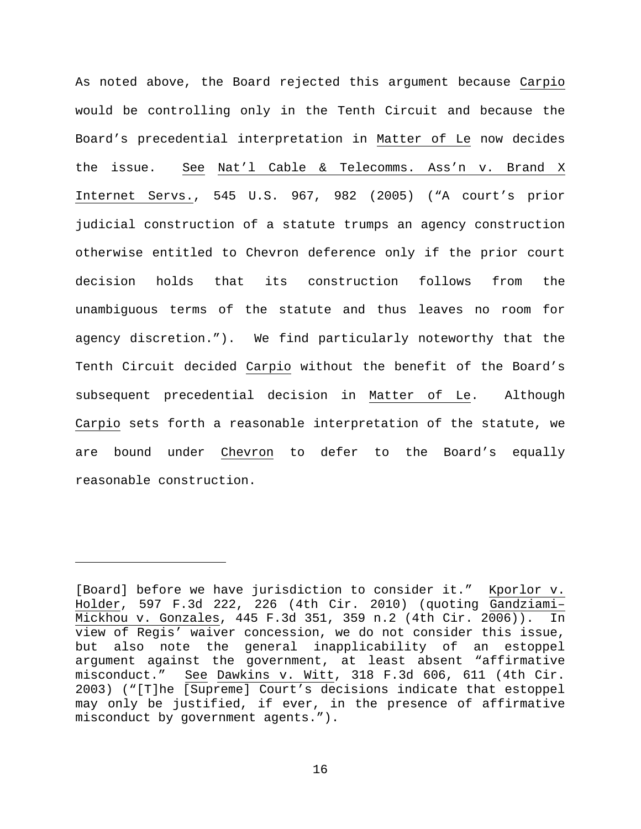As noted above, the Board rejected this argument because Carpio would be controlling only in the Tenth Circuit and because the Board's precedential interpretation in Matter of Le now decides the issue. See Nat'l Cable & Telecomms. Ass'n v. Brand X Internet Servs., 545 U.S. 967, 982 (2005) ("A court's prior judicial construction of a statute trumps an agency construction otherwise entitled to Chevron deference only if the prior court decision holds that its construction follows from the unambiguous terms of the statute and thus leaves no room for agency discretion."). We find particularly noteworthy that the Tenth Circuit decided Carpio without the benefit of the Board's subsequent precedential decision in Matter of Le. Although Carpio sets forth a reasonable interpretation of the statute, we are bound under Chevron to defer to the Board's equally reasonable construction.

Ĩ.

<sup>[</sup>Board] before we have jurisdiction to consider it." Kporlor v. Holder, 597 F.3d 222, 226 (4th Cir. 2010) (quoting Gandziami– Mickhou v. Gonzales, 445 F.3d 351, 359 n.2 (4th Cir. 2006)). In view of Regis' waiver concession, we do not consider this issue, but also note the general inapplicability of an estoppel argument against the government, at least absent "affirmative misconduct." See Dawkins v. Witt, 318 F.3d 606, 611 (4th Cir. 2003) ("[T]he [Supreme] Court's decisions indicate that estoppel may only be justified, if ever, in the presence of affirmative misconduct by government agents.").